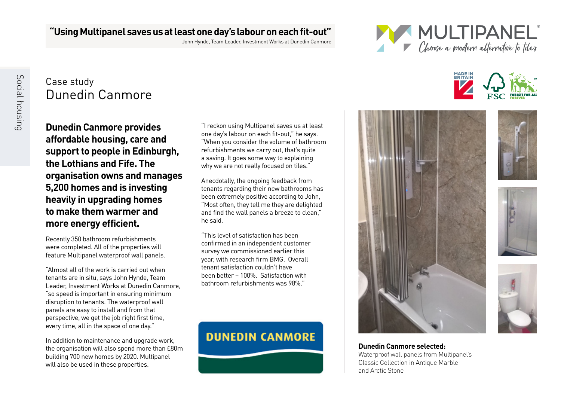#### **"Using Multipanel saves us at least one day's labour on each fit-out"**

John Hynde, Team Leader, Investment Works at Dunedin Canmore



**MADE IN**<br>BRITAIN

## Case study Dunedin Canmore

Social housin Social housing

**Dunedin Canmore provides affordable housing, care and support to people in Edinburgh, the Lothians and Fife. The organisation owns and manages 5,200 homes and is investing heavily in upgrading homes to make them warmer and more energy efficient.** 

Recently 350 bathroom refurbishments were completed. All of the properties will feature Multipanel waterproof wall panels.

"Almost all of the work is carried out when tenants are in situ, says John Hynde, Team Leader, Investment Works at Dunedin Canmore, "so speed is important in ensuring minimum disruption to tenants. The waterproof wall panels are easy to install and from that perspective, we get the job right first time, every time, all in the space of one day."

In addition to maintenance and upgrade work, the organisation will also spend more than £80m building 700 new homes by 2020. Multipanel will also be used in these properties.

"I reckon using Multipanel saves us at least one day's labour on each fit-out," he says. "When you consider the volume of bathroom refurbishments we carry out, that's quite a saving. It goes some way to explaining why we are not really focused on tiles."

Anecdotally, the ongoing feedback from tenants regarding their new bathrooms has been extremely positive according to John, "Most often, they tell me they are delighted and find the wall panels a breeze to clean," he said.

"This level of satisfaction has been confirmed in an independent customer survey we commissioned earlier this year, with research firm BMG. Overall tenant satisfaction couldn't have been better – 100%. Satisfaction with bathroom refurbishments was 98%."











**Dunedin Canmore selected:** Waterproof wall panels from Multipanel's Classic Collection in Antique Marble and Arctic Stone